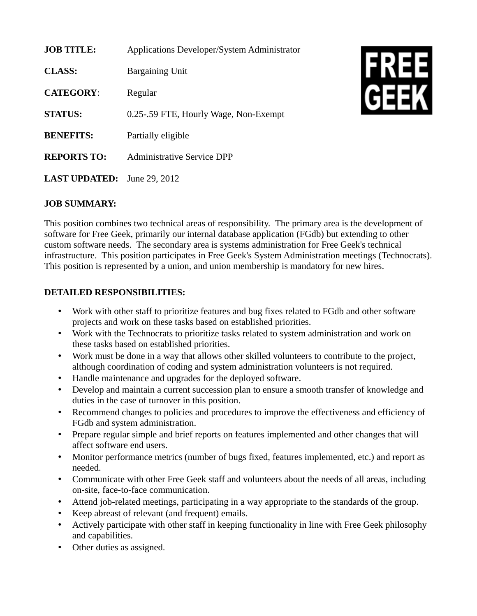| <b>JOB TITLE:</b>    | <b>Applications Developer/System Administrator</b> |
|----------------------|----------------------------------------------------|
| <b>CLASS:</b>        | Bargaining Unit                                    |
| <b>CATEGORY:</b>     | Regular                                            |
| <b>STATUS:</b>       | 0.25-.59 FTE, Hourly Wage, Non-Exempt              |
| <b>BENEFITS:</b>     | Partially eligible                                 |
| <b>REPORTS TO:</b>   | Administrative Service DPP                         |
| <b>LAST UPDATED:</b> | June 29, 2012                                      |



## **JOB SUMMARY:**

This position combines two technical areas of responsibility. The primary area is the development of software for Free Geek, primarily our internal database application (FGdb) but extending to other custom software needs. The secondary area is systems administration for Free Geek's technical infrastructure. This position participates in Free Geek's System Administration meetings (Technocrats). This position is represented by a union, and union membership is mandatory for new hires.

## **DETAILED RESPONSIBILITIES:**

- Work with other staff to prioritize features and bug fixes related to FGdb and other software projects and work on these tasks based on established priorities.
- Work with the Technocrats to prioritize tasks related to system administration and work on these tasks based on established priorities.
- Work must be done in a way that allows other skilled volunteers to contribute to the project, although coordination of coding and system administration volunteers is not required.
- Handle maintenance and upgrades for the deployed software.
- Develop and maintain a current succession plan to ensure a smooth transfer of knowledge and duties in the case of turnover in this position.
- Recommend changes to policies and procedures to improve the effectiveness and efficiency of FGdb and system administration.
- Prepare regular simple and brief reports on features implemented and other changes that will affect software end users.
- Monitor performance metrics (number of bugs fixed, features implemented, etc.) and report as needed.
- Communicate with other Free Geek staff and volunteers about the needs of all areas, including on-site, face-to-face communication.
- Attend job-related meetings, participating in a way appropriate to the standards of the group.
- Keep abreast of relevant (and frequent) emails.
- Actively participate with other staff in keeping functionality in line with Free Geek philosophy and capabilities.
- Other duties as assigned.